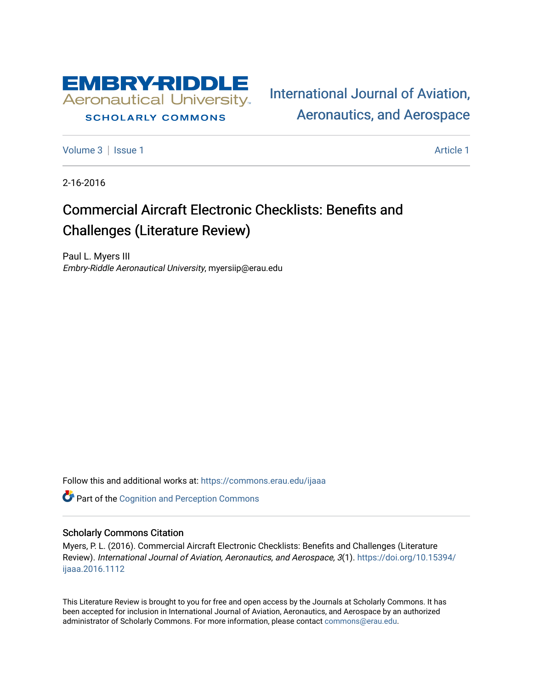

### **SCHOLARLY COMMONS**

[International Journal of Aviation,](https://commons.erau.edu/ijaaa)  [Aeronautics, and Aerospace](https://commons.erau.edu/ijaaa) 

[Volume 3](https://commons.erau.edu/ijaaa/vol3) | [Issue 1](https://commons.erau.edu/ijaaa/vol3/iss1) Article 1

2-16-2016

# Commercial Aircraft Electronic Checklists: Benefits and Challenges (Literature Review)

Paul L. Myers III Embry-Riddle Aeronautical University, myersiip@erau.edu

Follow this and additional works at: [https://commons.erau.edu/ijaaa](https://commons.erau.edu/ijaaa?utm_source=commons.erau.edu%2Fijaaa%2Fvol3%2Fiss1%2F1&utm_medium=PDF&utm_campaign=PDFCoverPages) 

**C** Part of the Cognition and Perception Commons

## Scholarly Commons Citation

Myers, P. L. (2016). Commercial Aircraft Electronic Checklists: Benefits and Challenges (Literature Review). International Journal of Aviation, Aeronautics, and Aerospace, 3(1). [https://doi.org/10.15394/](https://doi.org/10.15394/ijaaa.2016.1112) [ijaaa.2016.1112](https://doi.org/10.15394/ijaaa.2016.1112)

This Literature Review is brought to you for free and open access by the Journals at Scholarly Commons. It has been accepted for inclusion in International Journal of Aviation, Aeronautics, and Aerospace by an authorized administrator of Scholarly Commons. For more information, please contact [commons@erau.edu](mailto:commons@erau.edu).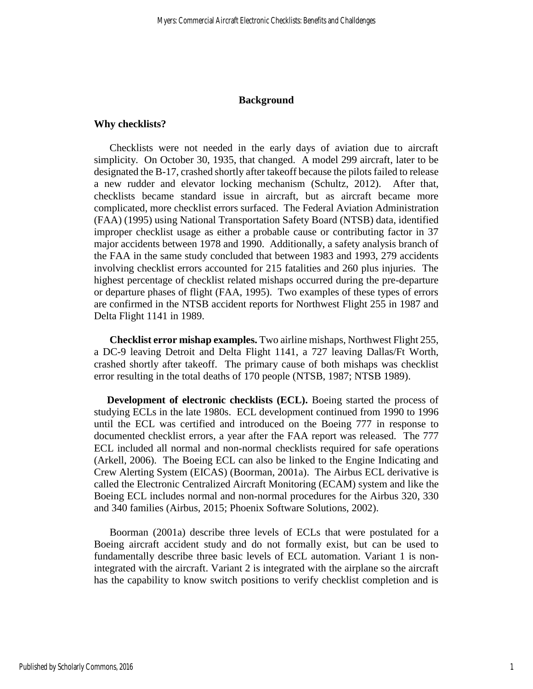#### **Background**

#### **Why checklists?**

Checklists were not needed in the early days of aviation due to aircraft simplicity. On October 30, 1935, that changed. A model 299 aircraft, later to be designated the B-17, crashed shortly after takeoff because the pilots failed to release a new rudder and elevator locking mechanism (Schultz, 2012). After that, checklists became standard issue in aircraft, but as aircraft became more complicated, more checklist errors surfaced. The Federal Aviation Administration (FAA) (1995) using National Transportation Safety Board (NTSB) data, identified improper checklist usage as either a probable cause or contributing factor in 37 major accidents between 1978 and 1990. Additionally, a safety analysis branch of the FAA in the same study concluded that between 1983 and 1993, 279 accidents involving checklist errors accounted for 215 fatalities and 260 plus injuries. The highest percentage of checklist related mishaps occurred during the pre-departure or departure phases of flight (FAA, 1995). Two examples of these types of errors are confirmed in the NTSB accident reports for Northwest Flight 255 in 1987 and Delta Flight 1141 in 1989.

**Checklist error mishap examples.** Two airline mishaps, Northwest Flight 255, a DC-9 leaving Detroit and Delta Flight 1141, a 727 leaving Dallas/Ft Worth, crashed shortly after takeoff. The primary cause of both mishaps was checklist error resulting in the total deaths of 170 people (NTSB, 1987; NTSB 1989).

**Development of electronic checklists (ECL).** Boeing started the process of studying ECLs in the late 1980s. ECL development continued from 1990 to 1996 until the ECL was certified and introduced on the Boeing 777 in response to documented checklist errors, a year after the FAA report was released. The 777 ECL included all normal and non-normal checklists required for safe operations (Arkell, 2006). The Boeing ECL can also be linked to the Engine Indicating and Crew Alerting System (EICAS) (Boorman, 2001a). The Airbus ECL derivative is called the Electronic Centralized Aircraft Monitoring (ECAM) system and like the Boeing ECL includes normal and non-normal procedures for the Airbus 320, 330 and 340 families (Airbus, 2015; Phoenix Software Solutions, 2002).

Boorman (2001a) describe three levels of ECLs that were postulated for a Boeing aircraft accident study and do not formally exist, but can be used to fundamentally describe three basic levels of ECL automation. Variant 1 is nonintegrated with the aircraft. Variant 2 is integrated with the airplane so the aircraft has the capability to know switch positions to verify checklist completion and is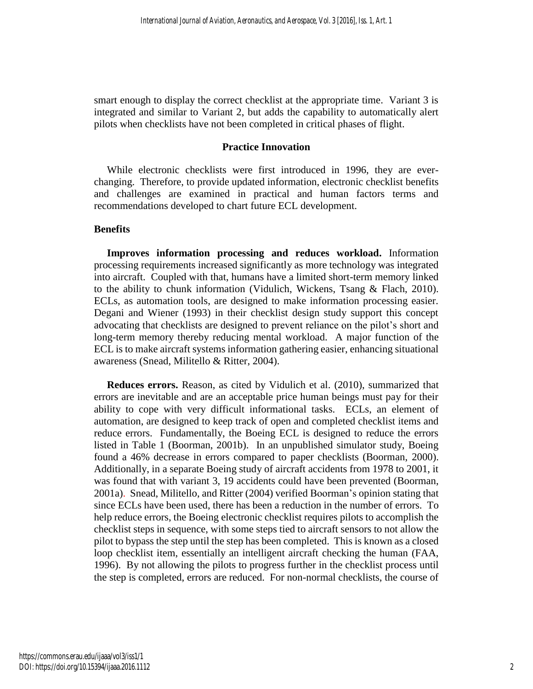smart enough to display the correct checklist at the appropriate time. Variant 3 is integrated and similar to Variant 2, but adds the capability to automatically alert pilots when checklists have not been completed in critical phases of flight.

#### **Practice Innovation**

 While electronic checklists were first introduced in 1996, they are everchanging. Therefore, to provide updated information, electronic checklist benefits and challenges are examined in practical and human factors terms and recommendations developed to chart future ECL development.

## **Benefits**

 **Improves information processing and reduces workload.** Information processing requirements increased significantly as more technology was integrated into aircraft. Coupled with that, humans have a limited short-term memory linked to the ability to chunk information (Vidulich, Wickens, Tsang & Flach, 2010). ECLs, as automation tools, are designed to make information processing easier. Degani and Wiener (1993) in their checklist design study support this concept advocating that checklists are designed to prevent reliance on the pilot's short and long-term memory thereby reducing mental workload. A major function of the ECL is to make aircraft systems information gathering easier, enhancing situational awareness (Snead, Militello & Ritter, 2004).

 **Reduces errors.** Reason, as cited by Vidulich et al. (2010), summarized that errors are inevitable and are an acceptable price human beings must pay for their ability to cope with very difficult informational tasks. ECLs, an element of automation, are designed to keep track of open and completed checklist items and reduce errors. Fundamentally, the Boeing ECL is designed to reduce the errors listed in Table 1 (Boorman, 2001b). In an unpublished simulator study, Boeing found a 46% decrease in errors compared to paper checklists (Boorman, 2000). Additionally, in a separate Boeing study of aircraft accidents from 1978 to 2001, it was found that with variant 3, 19 accidents could have been prevented (Boorman, 2001a). Snead, Militello, and Ritter (2004) verified Boorman's opinion stating that since ECLs have been used, there has been a reduction in the number of errors. To help reduce errors, the Boeing electronic checklist requires pilots to accomplish the checklist steps in sequence, with some steps tied to aircraft sensors to not allow the pilot to bypass the step until the step has been completed. This is known as a closed loop checklist item, essentially an intelligent aircraft checking the human (FAA, 1996). By not allowing the pilots to progress further in the checklist process until the step is completed, errors are reduced. For non-normal checklists, the course of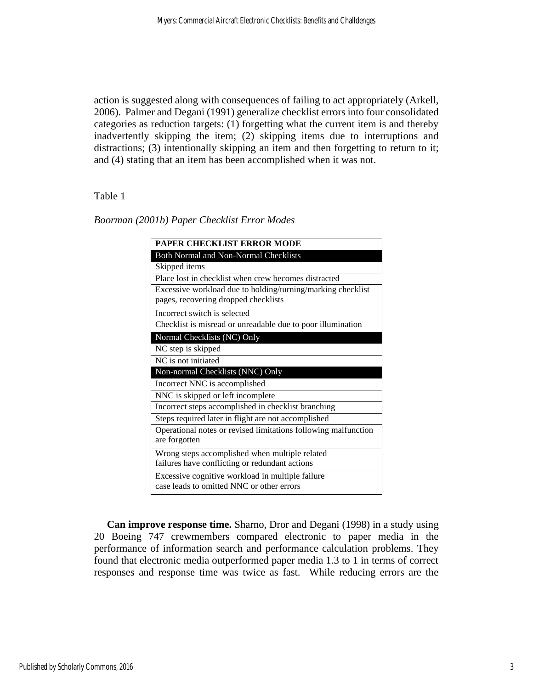action is suggested along with consequences of failing to act appropriately (Arkell, 2006). Palmer and Degani (1991) generalize checklist errors into four consolidated categories as reduction targets: (1) forgetting what the current item is and thereby inadvertently skipping the item; (2) skipping items due to interruptions and distractions; (3) intentionally skipping an item and then forgetting to return to it; and (4) stating that an item has been accomplished when it was not.

## Table 1

#### *Boorman (2001b) Paper Checklist Error Modes*

| <b>PAPER CHECKLIST ERROR MODE</b>                                                                   |  |  |  |
|-----------------------------------------------------------------------------------------------------|--|--|--|
| <b>Both Normal and Non-Normal Checklists</b>                                                        |  |  |  |
| Skipped items                                                                                       |  |  |  |
| Place lost in checklist when crew becomes distracted                                                |  |  |  |
| Excessive workload due to holding/turning/marking checklist<br>pages, recovering dropped checklists |  |  |  |
| Incorrect switch is selected                                                                        |  |  |  |
| Checklist is misread or unreadable due to poor illumination                                         |  |  |  |
| Normal Checklists (NC) Only                                                                         |  |  |  |
| NC step is skipped                                                                                  |  |  |  |
| NC is not initiated                                                                                 |  |  |  |
| Non-normal Checklists (NNC) Only                                                                    |  |  |  |
| Incorrect NNC is accomplished                                                                       |  |  |  |
| NNC is skipped or left incomplete                                                                   |  |  |  |
| Incorrect steps accomplished in checklist branching                                                 |  |  |  |
| Steps required later in flight are not accomplished                                                 |  |  |  |
| Operational notes or revised limitations following malfunction<br>are forgotten                     |  |  |  |
| Wrong steps accomplished when multiple related                                                      |  |  |  |
| failures have conflicting or redundant actions                                                      |  |  |  |
| Excessive cognitive workload in multiple failure<br>case leads to omitted NNC or other errors       |  |  |  |

 **Can improve response time.** Sharno, Dror and Degani (1998) in a study using 20 Boeing 747 crewmembers compared electronic to paper media in the performance of information search and performance calculation problems. They found that electronic media outperformed paper media 1.3 to 1 in terms of correct responses and response time was twice as fast. While reducing errors are the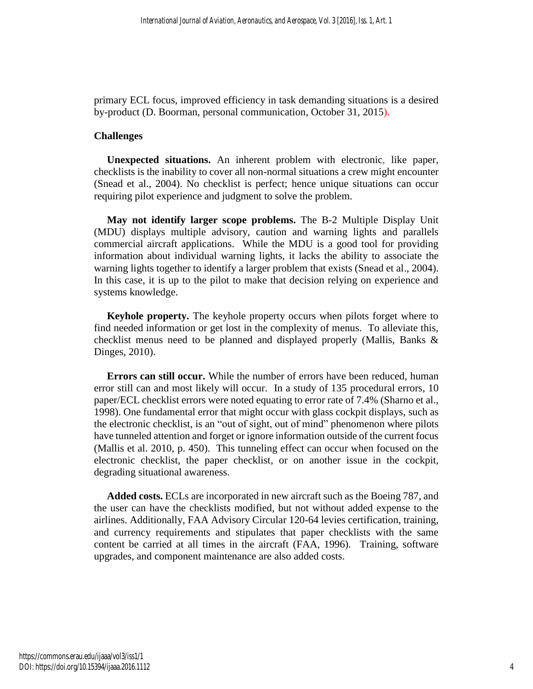primary ECL focus, improved efficiency in task demanding situations is a desired by-product (D. Boorman, personal communication, October 31, 2015).

## **Challenges**

 **Unexpected situations.** An inherent problem with electronic, like paper, checklists is the inability to cover all non-normal situations a crew might encounter (Snead et al., 2004). No checklist is perfect; hence unique situations can occur requiring pilot experience and judgment to solve the problem.

 **May not identify larger scope problems.** The B-2 Multiple Display Unit (MDU) displays multiple advisory, caution and warning lights and parallels commercial aircraft applications. While the MDU is a good tool for providing information about individual warning lights, it lacks the ability to associate the warning lights together to identify a larger problem that exists (Snead et al., 2004). In this case, it is up to the pilot to make that decision relying on experience and systems knowledge.

 **Keyhole property.** The keyhole property occurs when pilots forget where to find needed information or get lost in the complexity of menus. To alleviate this, checklist menus need to be planned and displayed properly (Mallis, Banks & Dinges, 2010).

**Errors can still occur.** While the number of errors have been reduced, human error still can and most likely will occur. In a study of 135 procedural errors, 10 paper/ECL checklist errors were noted equating to error rate of 7.4% (Sharno et al., 1998). One fundamental error that might occur with glass cockpit displays, such as the electronic checklist, is an "out of sight, out of mind" phenomenon where pilots have tunneled attention and forget or ignore information outside of the current focus (Mallis et al. 2010, p. 450). This tunneling effect can occur when focused on the electronic checklist, the paper checklist, or on another issue in the cockpit, degrading situational awareness.

**Added costs.** ECLs are incorporated in new aircraft such as the Boeing 787, and the user can have the checklists modified, but not without added expense to the airlines. Additionally, FAA Advisory Circular 120-64 levies certification, training, and currency requirements and stipulates that paper checklists with the same content be carried at all times in the aircraft (FAA, 1996). Training, software upgrades, and component maintenance are also added costs.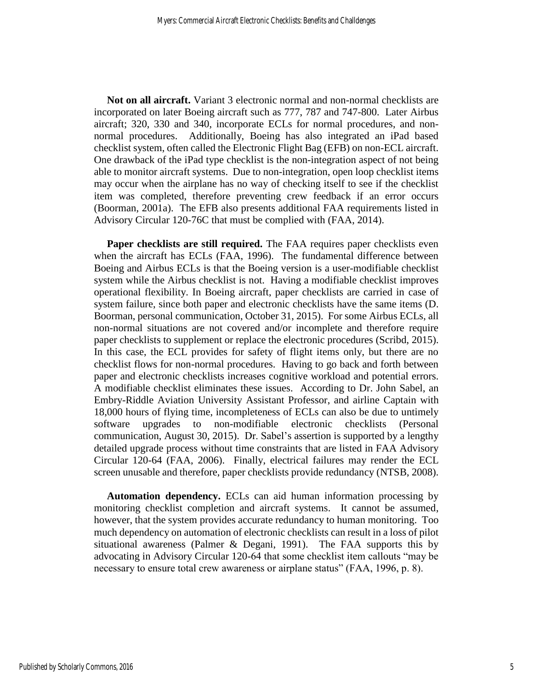**Not on all aircraft.** Variant 3 electronic normal and non-normal checklists are incorporated on later Boeing aircraft such as 777, 787 and 747-800. Later Airbus aircraft; 320, 330 and 340, incorporate ECLs for normal procedures, and nonnormal procedures. Additionally, Boeing has also integrated an iPad based checklist system, often called the Electronic Flight Bag (EFB) on non-ECL aircraft. One drawback of the iPad type checklist is the non-integration aspect of not being able to monitor aircraft systems. Due to non-integration, open loop checklist items may occur when the airplane has no way of checking itself to see if the checklist item was completed, therefore preventing crew feedback if an error occurs (Boorman, 2001a). The EFB also presents additional FAA requirements listed in Advisory Circular 120-76C that must be complied with (FAA, 2014).

**Paper checklists are still required.** The FAA requires paper checklists even when the aircraft has ECLs (FAA, 1996). The fundamental difference between Boeing and Airbus ECLs is that the Boeing version is a user-modifiable checklist system while the Airbus checklist is not. Having a modifiable checklist improves operational flexibility. In Boeing aircraft, paper checklists are carried in case of system failure, since both paper and electronic checklists have the same items (D. Boorman, personal communication, October 31, 2015). For some Airbus ECLs, all non-normal situations are not covered and/or incomplete and therefore require paper checklists to supplement or replace the electronic procedures (Scribd, 2015). In this case, the ECL provides for safety of flight items only, but there are no checklist flows for non-normal procedures. Having to go back and forth between paper and electronic checklists increases cognitive workload and potential errors. A modifiable checklist eliminates these issues. According to Dr. John Sabel, an Embry-Riddle Aviation University Assistant Professor, and airline Captain with 18,000 hours of flying time, incompleteness of ECLs can also be due to untimely software upgrades to non-modifiable electronic checklists (Personal communication, August 30, 2015). Dr. Sabel's assertion is supported by a lengthy detailed upgrade process without time constraints that are listed in FAA Advisory Circular 120-64 (FAA, 2006). Finally, electrical failures may render the ECL screen unusable and therefore, paper checklists provide redundancy (NTSB, 2008).

**Automation dependency.** ECLs can aid human information processing by monitoring checklist completion and aircraft systems. It cannot be assumed, however, that the system provides accurate redundancy to human monitoring. Too much dependency on automation of electronic checklists can result in a loss of pilot situational awareness (Palmer & Degani, 1991). The FAA supports this by advocating in Advisory Circular 120-64 that some checklist item callouts "may be necessary to ensure total crew awareness or airplane status" (FAA, 1996, p. 8).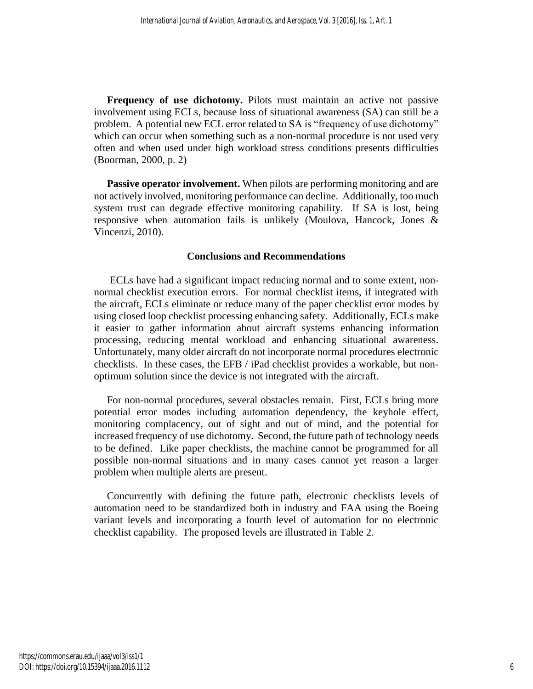**Frequency of use dichotomy.** Pilots must maintain an active not passive involvement using ECLs, because loss of situational awareness (SA) can still be a problem. A potential new ECL error related to SA is "frequency of use dichotomy" which can occur when something such as a non-normal procedure is not used very often and when used under high workload stress conditions presents difficulties (Boorman, 2000, p. 2)

 **Passive operator involvement.** When pilots are performing monitoring and are not actively involved, monitoring performance can decline. Additionally, too much system trust can degrade effective monitoring capability. If SA is lost, being responsive when automation fails is unlikely (Moulova, Hancock, Jones & Vincenzi, 2010).

#### **Conclusions and Recommendations**

 ECLs have had a significant impact reducing normal and to some extent, nonnormal checklist execution errors. For normal checklist items, if integrated with the aircraft, ECLs eliminate or reduce many of the paper checklist error modes by using closed loop checklist processing enhancing safety. Additionally, ECLs make it easier to gather information about aircraft systems enhancing information processing, reducing mental workload and enhancing situational awareness. Unfortunately, many older aircraft do not incorporate normal procedures electronic checklists. In these cases, the EFB / iPad checklist provides a workable, but nonoptimum solution since the device is not integrated with the aircraft.

 For non-normal procedures, several obstacles remain. First, ECLs bring more potential error modes including automation dependency, the keyhole effect, monitoring complacency, out of sight and out of mind, and the potential for increased frequency of use dichotomy. Second, the future path of technology needs to be defined. Like paper checklists, the machine cannot be programmed for all possible non-normal situations and in many cases cannot yet reason a larger problem when multiple alerts are present.

 Concurrently with defining the future path, electronic checklists levels of automation need to be standardized both in industry and FAA using the Boeing variant levels and incorporating a fourth level of automation for no electronic checklist capability. The proposed levels are illustrated in Table 2.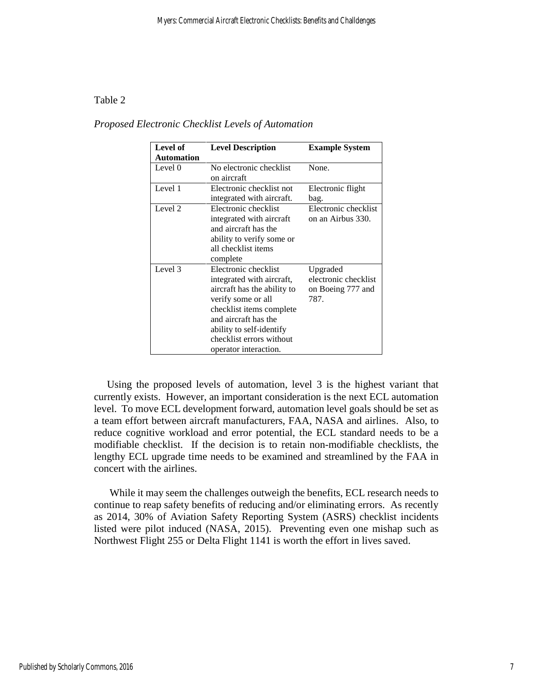#### Table 2

| Level of   | <b>Level Description</b>    | <b>Example System</b> |
|------------|-----------------------------|-----------------------|
| Automation |                             |                       |
| Level 0    | No electronic checklist     | None.                 |
|            | on aircraft                 |                       |
| Level 1    | Electronic checklist not    | Electronic flight     |
|            | integrated with aircraft.   | bag.                  |
| Level 2    | Electronic checklist        | Electronic checklist  |
|            | integrated with aircraft    | on an Airbus 330.     |
|            | and aircraft has the        |                       |
|            | ability to verify some or   |                       |
|            | all checklist items         |                       |
|            | complete                    |                       |
| Level 3    | Electronic checklist        | Upgraded              |
|            | integrated with aircraft,   | electronic checklist  |
|            | aircraft has the ability to | on Boeing 777 and     |
|            | verify some or all          | 787.                  |
|            | checklist items complete    |                       |
|            | and aircraft has the        |                       |
|            | ability to self-identify    |                       |
|            | checklist errors without    |                       |
|            | operator interaction.       |                       |

*Proposed Electronic Checklist Levels of Automation*

 Using the proposed levels of automation, level 3 is the highest variant that currently exists. However, an important consideration is the next ECL automation level. To move ECL development forward, automation level goals should be set as a team effort between aircraft manufacturers, FAA, NASA and airlines. Also, to reduce cognitive workload and error potential, the ECL standard needs to be a modifiable checklist. If the decision is to retain non-modifiable checklists, the lengthy ECL upgrade time needs to be examined and streamlined by the FAA in concert with the airlines.

While it may seem the challenges outweigh the benefits, ECL research needs to continue to reap safety benefits of reducing and/or eliminating errors. As recently as 2014, 30% of Aviation Safety Reporting System (ASRS) checklist incidents listed were pilot induced (NASA, 2015). Preventing even one mishap such as Northwest Flight 255 or Delta Flight 1141 is worth the effort in lives saved.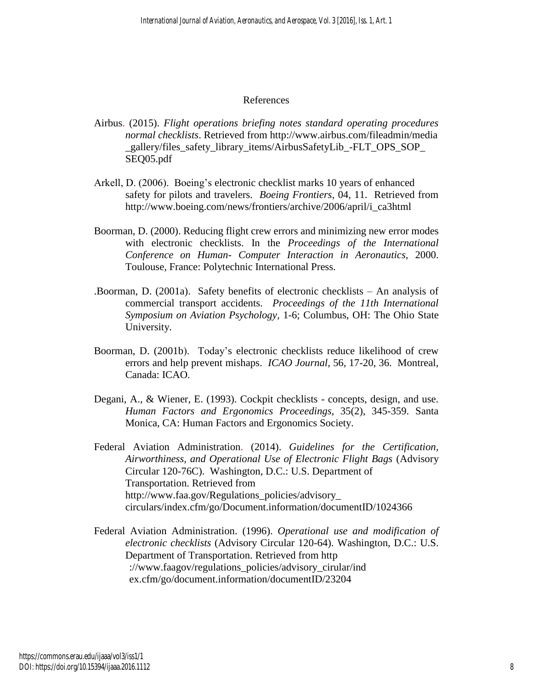## References

- Airbus. (2015). *Flight operations briefing notes standard operating procedures normal checklists*. Retrieved from http://www.airbus.com/fileadmin/media \_gallery/files\_safety\_library\_items/AirbusSafetyLib\_-FLT\_OPS\_SOP\_ SEQ05.pdf
- Arkell, D. (2006). Boeing's electronic checklist marks 10 years of enhanced safety for pilots and travelers. *Boeing Frontiers*, 04, 11. Retrieved from http://www.boeing.com/news/frontiers/archive/2006/april/i\_ca3html
- Boorman, D. (2000). Reducing flight crew errors and minimizing new error modes with electronic checklists. In the *Proceedings of the International Conference on Human- Computer Interaction in Aeronautics,* 2000. Toulouse, France: Polytechnic International Press.
- .Boorman, D. (2001a). Safety benefits of electronic checklists An analysis of commercial transport accidents. *Proceedings of the 11th International Symposium on Aviation Psychology,* 1-6; Columbus, OH: The Ohio State University.
- Boorman, D. (2001b). Today's electronic checklists reduce likelihood of crew errors and help prevent mishaps. *ICAO Journal*, 56, 17-20, 36. Montreal, Canada: ICAO.
- Degani, A., & Wiener, E. (1993). Cockpit checklists concepts, design, and use. *Human Factors and Ergonomics Proceedings,* 35(2), 345-359. Santa Monica, CA: Human Factors and Ergonomics Society.
- Federal Aviation Administration. (2014). *Guidelines for the Certification, Airworthiness, and Operational Use of Electronic Flight Bags* (Advisory Circular 120-76C). Washington, D.C.: U.S. Department of Transportation. Retrieved from http://www.faa.gov/Regulations\_policies/advisory\_ circulars/index.cfm/go/Document.information/documentID/1024366
- Federal Aviation Administration. (1996). *Operational use and modification of electronic checklists* (Advisory Circular 120-64). Washington, D.C.: U.S. Department of Transportation. Retrieved from http ://www.faagov/regulations\_policies/advisory\_cirular/ind ex.cfm/go/document.information/documentID/23204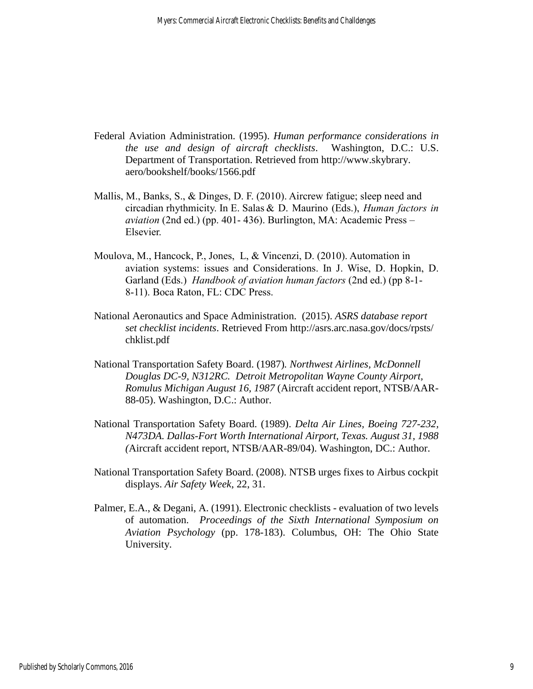- Federal Aviation Administration. (1995). *Human performance considerations in the use and design of aircraft checklists*. Washington, D.C.: U.S. Department of Transportation. Retrieved from http://www.skybrary. aero/bookshelf/books/1566.pdf
- Mallis, M., Banks, S., & Dinges, D. F. (2010). Aircrew fatigue; sleep need and circadian rhythmicity. In E. Salas & D. Maurino (Eds.), *Human factors in aviation* (2nd ed.) (pp. 401- 436). Burlington, MA: Academic Press – Elsevier.
- Moulova, M., Hancock, P., Jones, L, & Vincenzi, D. (2010). Automation in aviation systems: issues and Considerations. In J. Wise, D. Hopkin, D. Garland (Eds.) *Handbook of aviation human factors* (2nd ed.) (pp 8-1- 8-11). Boca Raton, FL: CDC Press.
- National Aeronautics and Space Administration. (2015). *ASRS database report set checklist incidents*. Retrieved From http://asrs.arc.nasa.gov/docs/rpsts/ chklist.pdf
- National Transportation Safety Board. (1987)*. Northwest Airlines, McDonnell Douglas DC-9, N312RC. Detroit Metropolitan Wayne County Airport, Romulus Michigan August 16, 1987* (Aircraft accident report, NTSB/AAR-88-05). Washington, D.C.: Author.
- National Transportation Safety Board. (1989). *Delta Air Lines, Boeing 727-232, N473DA. Dallas-Fort Worth International Airport, Texas. August 31, 1988 (*Aircraft accident report, NTSB/AAR-89/04). Washington, DC.: Author.
- National Transportation Safety Board. (2008). NTSB urges fixes to Airbus cockpit displays. *Air Safety Week*, 22, 31.
- Palmer, E.A., & Degani, A. (1991). Electronic checklists evaluation of two levels of automation. *Proceedings of the Sixth International Symposium on Aviation Psychology* (pp. 178-183). Columbus, OH: The Ohio State University.